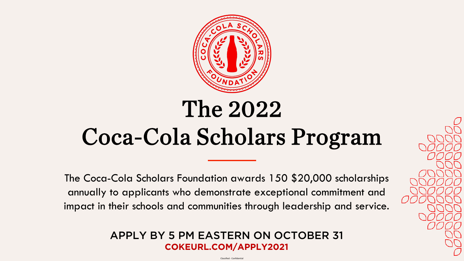Classified - Confidential





# The 2022 Coca-Cola Scholars Program

The Coca-Cola Scholars Foundation awards 150 \$20,000 scholarships annually to applicants who demonstrate exceptional commitment and impact in their schools and communities through leadership and service.

## APPLY BY 5 PM EASTERN ON OCTOBER 31 **COKEURL.COM/APPLY2021**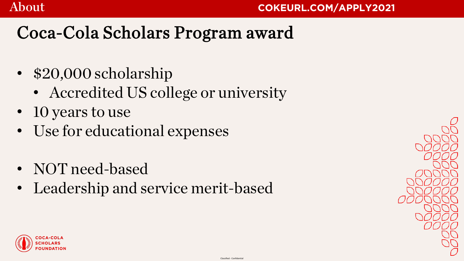Classified - Confidential

# ヘレレレレ

# Coca-Cola Scholars Program award

- \$20,000 scholarship
	- Accredited US college or university
- 10 years to use
- Use for educational expenses
- NOT need-based
- Leadership and service merit-based



## About **COKEURL.COM/APPLY2021**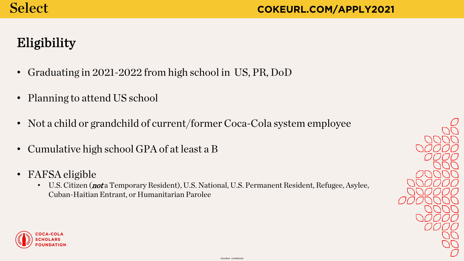## Eligibility

- Graduating in 2021-2022 from high school in US, PR, DoD
- Planning to attend US school
- Not a child or grandchild of current/former Coca-Cola system employee
- Cumulative high school GPA of at least a B
- FAFSA eligible
	- U.S. Citizen (*not* a Temporary Resident), U.S. National, U.S. Permanent Resident, Refugee, Asylee, Cuban-Haitian Entrant, or Humanitarian Parolee



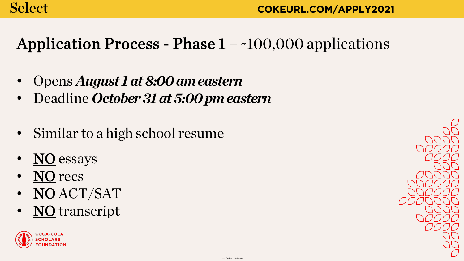# Application Process - Phase  $1 - 100,000$  applications

- Opens *August 1 at 8:00 am eastern*
- Deadline *October 31 at 5:00 pm eastern*
- Similar to a high school resume
- NO essays
- NO recs
- NO ACT/SAT
- NO transcript



## Select **COKEURL.COM/APPLY2021**

JUUUL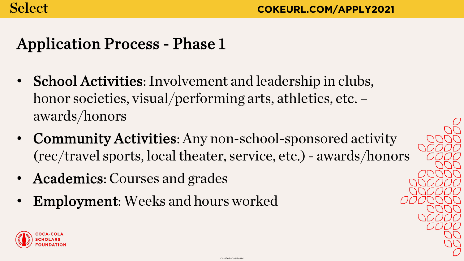

# Application Process - Phase 1

- School Activities: Involvement and leadership in clubs, honor societies, visual/performing arts, athletics, etc. awards/honors
- Community Activities: Any non-school-sponsored activity
- Academics: Courses and grades
- Employment: Weeks and hours worked



(rec/travel sports, local theater, service, etc.) - awards/honors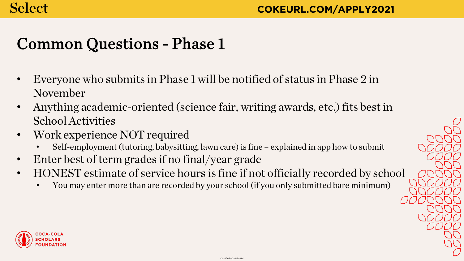

- Everyone who submits in Phase 1 will be notified of status in Phase 2 in November
- Anything academic-oriented (science fair, writing awards, etc.) fits best in School Activities
- Work experience NOT required
	- Self-employment (tutoring, babysitting, lawn care) is fine explained in app how to submit
- Enter best of term grades if no final/year grade • HONEST estimate of service hours is fine if not officially recorded by school • You may enter more than are recorded by your school (if you only submitted bare minimum)
- 
- 



# Common Questions - Phase 1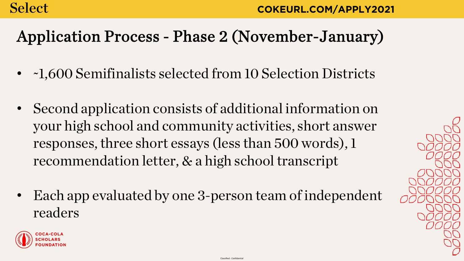# Application Process - Phase 2 (November-January)

- ~1,600 Semifinalists selected from 10 Selection Districts
- Second application consists of additional information on your high school and community activities, short answer responses, three short essays (less than 500 words), 1 recommendation letter, & a high school transcript
- Each app evaluated by one 3-person team of independent readers



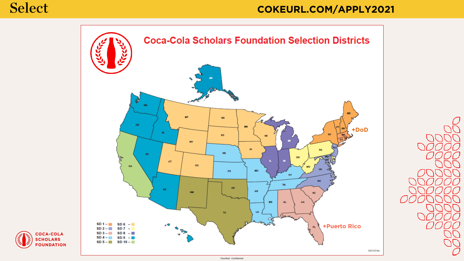



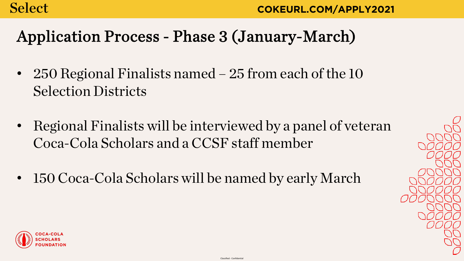# Application Process - Phase 3 (January-March)

- 250 Regional Finalists named 25 from each of the 10 Selection Districts
- Regional Finalists will be interviewed by a panel of veteran Coca-Cola Scholars and a CCSF staff member
- 150 Coca-Cola Scholars will be named by early March